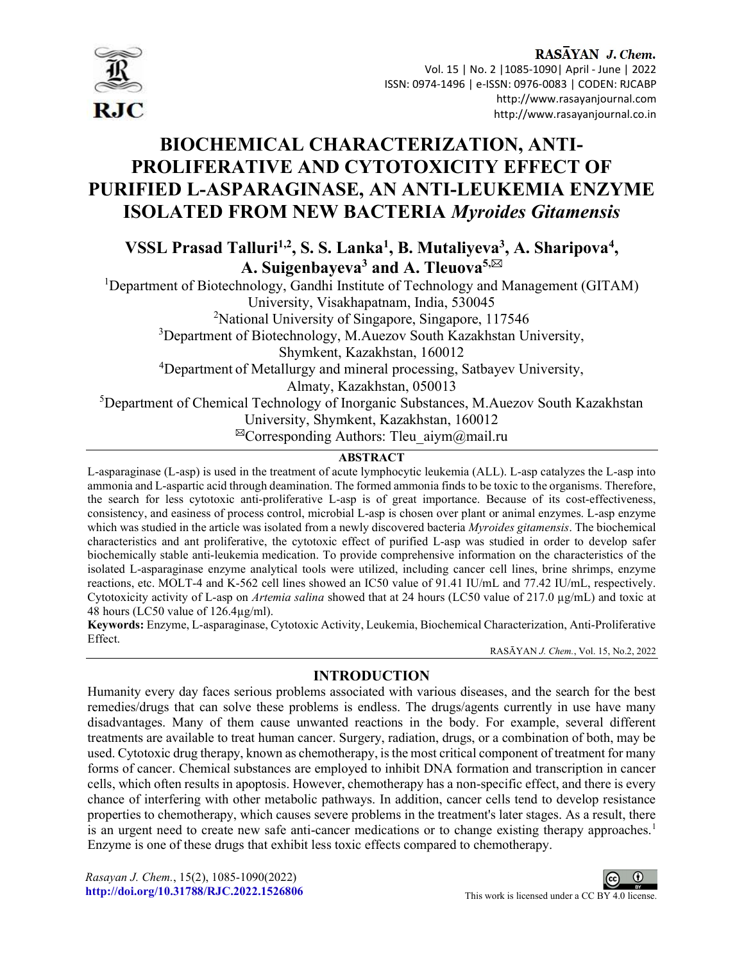

# BIOCHEMICAL CHARACTERIZATION, ANTI-PROLIFERATIVE AND CYTOTOXICITY EFFECT OF PURIFIED L-ASPARAGINASE, AN ANTI-LEUKEMIA ENZYME ISOLATED FROM NEW BACTERIA Myroides Gitamensis

VSSL Prasad Talluri<sup>1,2</sup>, S. S. Lanka<sup>1</sup>, B. Mutaliyeva<sup>3</sup>, A. Sharipova<sup>4</sup>, A. Suigenbayeva<sup>3</sup> and A. Tleuova<sup>5,⊠</sup>

<sup>1</sup>Department of Biotechnology, Gandhi Institute of Technology and Management (GITAM) University, Visakhapatnam, India, 530045 <sup>2</sup>National University of Singapore, Singapore, 117546 <sup>3</sup>Department of Biotechnology, M.Auezov South Kazakhstan University, Shymkent, Kazakhstan, 160012 <sup>4</sup>Department of Metallurgy and mineral processing, Satbayev University, Almaty, Kazakhstan, 050013 <sup>5</sup>Department of Chemical Technology of Inorganic Substances, M.Auezov South Kazakhstan University, Shymkent, Kazakhstan, 160012

 $^{\boxtimes}$ Corresponding Authors: Tleu aiym $@$ mail.ru

# **ABSTRACT**

L-asparaginase (L-asp) is used in the treatment of acute lymphocytic leukemia (ALL). L-asp catalyzes the L-asp into ammonia and L-aspartic acid through deamination. The formed ammonia finds to be toxic to the organisms. Therefore, the search for less cytotoxic anti-proliferative L-asp is of great importance. Because of its cost-effectiveness, consistency, and easiness of process control, microbial L-asp is chosen over plant or animal enzymes. L-asp enzyme which was studied in the article was isolated from a newly discovered bacteria Myroides gitamensis. The biochemical characteristics and ant proliferative, the cytotoxic effect of purified L-asp was studied in order to develop safer biochemically stable anti-leukemia medication. To provide comprehensive information on the characteristics of the isolated L-asparaginase enzyme analytical tools were utilized, including cancer cell lines, brine shrimps, enzyme reactions, etc. MOLT-4 and K-562 cell lines showed an IC50 value of 91.41 IU/mL and 77.42 IU/mL, respectively. Cytotoxicity activity of L-asp on *Artemia salina* showed that at 24 hours (LC50 value of 217.0 µg/mL) and toxic at 48 hours (LC50 value of 126.4µg/ml).

Keywords: Enzyme, L-asparaginase, Cytotoxic Activity, Leukemia, Biochemical Characterization, Anti-Proliferative Effect.

RASĀYAN J. Chem., Vol. 15, No.2, 2022

## INTRODUCTION

Humanity every day faces serious problems associated with various diseases, and the search for the best remedies/drugs that can solve these problems is endless. The drugs/agents currently in use have many disadvantages. Many of them cause unwanted reactions in the body. For example, several different treatments are available to treat human cancer. Surgery, radiation, drugs, or a combination of both, may be used. Cytotoxic drug therapy, known as chemotherapy, is the most critical component of treatment for many forms of cancer. Chemical substances are employed to inhibit DNA formation and transcription in cancer cells, which often results in apoptosis. However, chemotherapy has a non-specific effect, and there is every chance of interfering with other metabolic pathways. In addition, cancer cells tend to develop resistance properties to chemotherapy, which causes severe problems in the treatment's later stages. As a result, there is an urgent need to create new safe anti-cancer medications or to change existing therapy approaches.<sup>1</sup> Enzyme is one of these drugs that exhibit less toxic effects compared to chemotherapy.

Rasayan J. Chem., 15(2), 1085-1090(2022) http://doi.org/10.31788/RJC.2022.1526806 This work is licensed under a CC BY 4.0 license.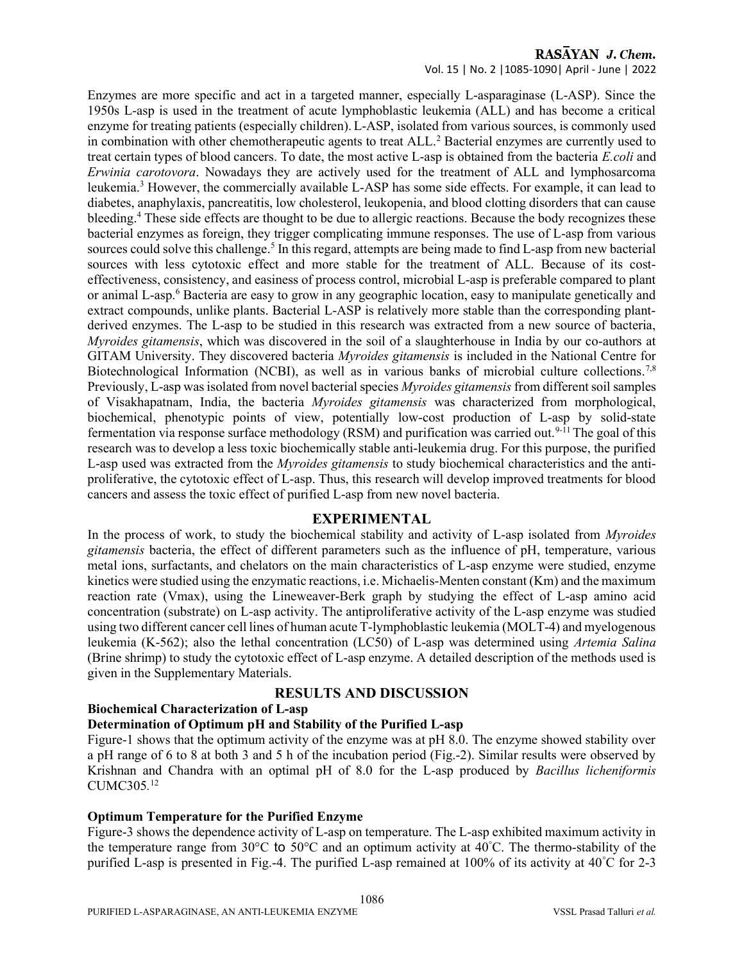# RASAYAN J. Chem.

#### Vol. 15 | No. 2 |1085-1090| April - June | 2022

Enzymes are more specific and act in a targeted manner, especially L-asparaginase (L-ASP). Since the 1950s L-asp is used in the treatment of acute lymphoblastic leukemia (ALL) and has become a critical enzyme for treating patients (especially children). L-ASP, isolated from various sources, is commonly used in combination with other chemotherapeutic agents to treat ALL.<sup>2</sup> Bacterial enzymes are currently used to treat certain types of blood cancers. To date, the most active L-asp is obtained from the bacteria E.coli and Erwinia carotovora. Nowadays they are actively used for the treatment of ALL and lymphosarcoma leukemia.<sup>3</sup> However, the commercially available L-ASP has some side effects. For example, it can lead to diabetes, anaphylaxis, pancreatitis, low cholesterol, leukopenia, and blood clotting disorders that can cause bleeding.<sup>4</sup> These side effects are thought to be due to allergic reactions. Because the body recognizes these bacterial enzymes as foreign, they trigger complicating immune responses. The use of L-asp from various sources could solve this challenge.<sup>5</sup> In this regard, attempts are being made to find L-asp from new bacterial sources with less cytotoxic effect and more stable for the treatment of ALL. Because of its costeffectiveness, consistency, and easiness of process control, microbial L-asp is preferable compared to plant or animal L-asp.<sup>6</sup> Bacteria are easy to grow in any geographic location, easy to manipulate genetically and extract compounds, unlike plants. Bacterial L-ASP is relatively more stable than the corresponding plantderived enzymes. The L-asp to be studied in this research was extracted from a new source of bacteria, Myroides gitamensis, which was discovered in the soil of a slaughterhouse in India by our co-authors at GITAM University. They discovered bacteria Myroides gitamensis is included in the National Centre for Biotechnological Information (NCBI), as well as in various banks of microbial culture collections.<sup>7,8</sup> Previously, L-asp was isolated from novel bacterial species Myroides gitamensis from different soil samples of Visakhapatnam, India, the bacteria Myroides gitamensis was characterized from morphological, biochemical, phenotypic points of view, potentially low-cost production of L-asp by solid-state fermentation via response surface methodology (RSM) and purification was carried out.<sup>9-11</sup> The goal of this research was to develop a less toxic biochemically stable anti-leukemia drug. For this purpose, the purified L-asp used was extracted from the *Myroides gitamensis* to study biochemical characteristics and the antiproliferative, the cytotoxic effect of L-asp. Thus, this research will develop improved treatments for blood cancers and assess the toxic effect of purified L-asp from new novel bacteria.

#### EXPERIMENTAL

In the process of work, to study the biochemical stability and activity of L-asp isolated from Myroides gitamensis bacteria, the effect of different parameters such as the influence of pH, temperature, various metal ions, surfactants, and chelators on the main characteristics of L-asp enzyme were studied, enzyme kinetics were studied using the enzymatic reactions, i.e. Michaelis-Menten constant (Km) and the maximum reaction rate (Vmax), using the Lineweaver-Berk graph by studying the effect of L-asp amino acid concentration (substrate) on L-asp activity. The antiproliferative activity of the L-asp enzyme was studied using two different cancer cell lines of human acute T-lymphoblastic leukemia (MOLT-4) and myelogenous leukemia (K-562); also the lethal concentration (LC50) of L-asp was determined using Artemia Salina (Brine shrimp) to study the cytotoxic effect of L-asp enzyme. A detailed description of the methods used is given in the Supplementary Materials.

#### RESULTS AND DISCUSSION

#### Biochemical Characterization of L-asp

#### Determination of Optimum pH and Stability of the Purified L-asp

Figure-1 shows that the optimum activity of the enzyme was at pH 8.0. The enzyme showed stability over a pH range of 6 to 8 at both 3 and 5 h of the incubation period (Fig.-2). Similar results were observed by Krishnan and Chandra with an optimal pH of 8.0 for the L-asp produced by Bacillus licheniformis CUMC305. 12

#### Optimum Temperature for the Purified Enzyme

Figure-3 shows the dependence activity of L-asp on temperature. The L-asp exhibited maximum activity in the temperature range from 30°C to 50°C and an optimum activity at 40°C. The thermo-stability of the purified L-asp is presented in Fig.-4. The purified L-asp remained at 100% of its activity at 40°C for 2-3

1086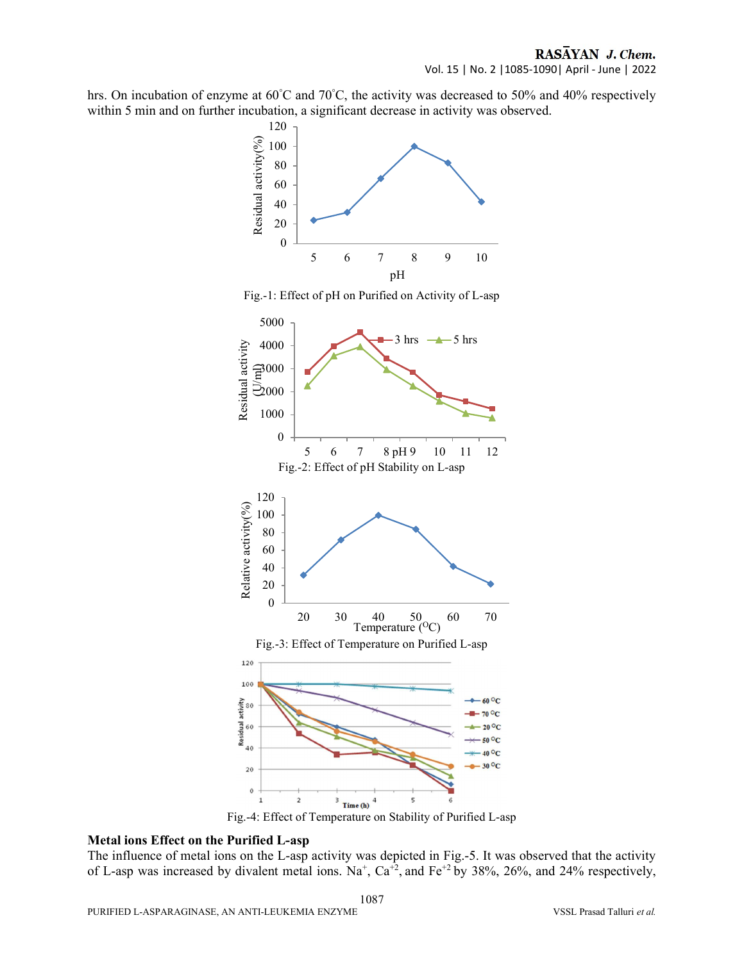hrs. On incubation of enzyme at 60°C and 70°C, the activity was decreased to 50% and 40% respectively within 5 min and on further incubation, a significant decrease in activity was observed.



Fig.-4: Effect of Temperature on Stability of Purified L-asp

#### Metal ions Effect on the Purified L-asp

The influence of metal ions on the L-asp activity was depicted in Fig.-5. It was observed that the activity of L-asp was increased by divalent metal ions.  $Na^+$ ,  $Ca^{+2}$ , and  $Fe^{+2}$  by 38%, 26%, and 24% respectively,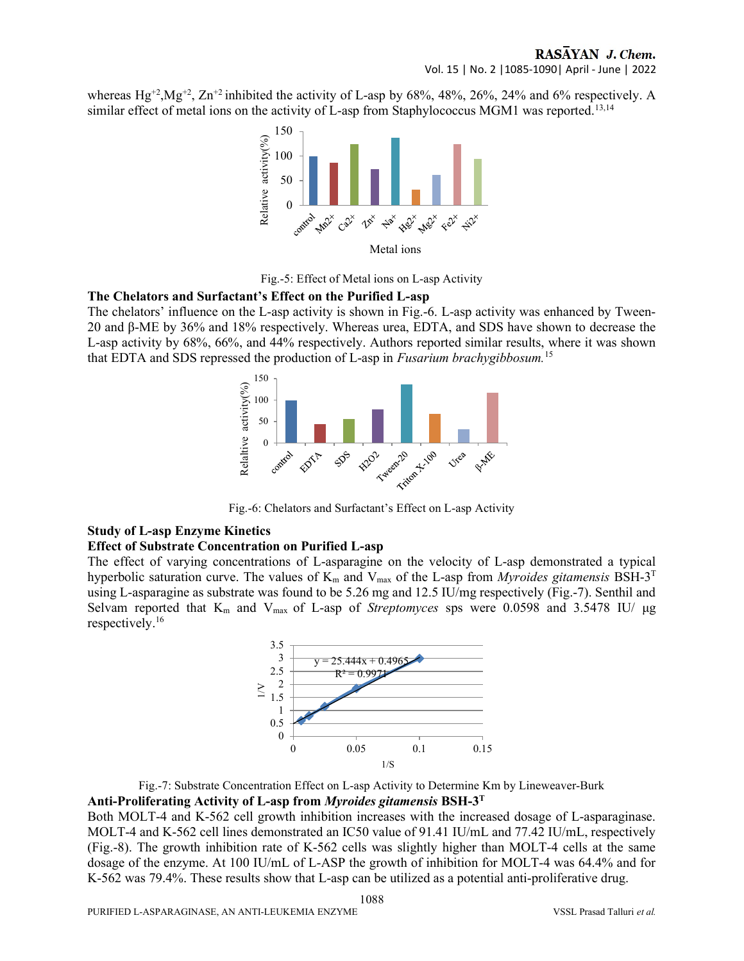whereas  $Hg^{+2}$ ,  $Mg^{+2}$ ,  $Zn^{+2}$  inhibited the activity of L-asp by 68%, 48%, 26%, 24% and 6% respectively. A similar effect of metal ions on the activity of L-asp from Staphylococcus MGM1 was reported.<sup>13,14</sup>



Fig.-5: Effect of Metal ions on L-asp Activity

#### The Chelators and Surfactant's Effect on the Purified L-asp

The chelators' influence on the L-asp activity is shown in Fig.-6. L-asp activity was enhanced by Tween-20 and β-ME by 36% and 18% respectively. Whereas urea, EDTA, and SDS have shown to decrease the L-asp activity by 68%, 66%, and 44% respectively. Authors reported similar results, where it was shown that EDTA and SDS repressed the production of L-asp in Fusarium brachygibbosum.<sup>15</sup>



Fig.-6: Chelators and Surfactant's Effect on L-asp Activity

#### Study of L-asp Enzyme Kinetics

#### Effect of Substrate Concentration on Purified L-asp

The effect of varying concentrations of L-asparagine on the velocity of L-asp demonstrated a typical hyperbolic saturation curve. The values of  $K_m$  and  $V_{max}$  of the L-asp from *Myroides gitamensis* BSH-3<sup>T</sup> using L-asparagine as substrate was found to be 5.26 mg and 12.5 IU/mg respectively (Fig.-7). Senthil and Selvam reported that  $K_m$  and  $V_{max}$  of L-asp of *Streptomyces* sps were 0.0598 and 3.5478 IU/  $\mu$ g respectively.<sup>16</sup>



Fig.-7: Substrate Concentration Effect on L-asp Activity to Determine Km by Lineweaver-Burk Anti-Proliferating Activity of L-asp from *Myroides gitamensis* BSH- $3<sup>T</sup>$ 

Both MOLT-4 and K-562 cell growth inhibition increases with the increased dosage of L-asparaginase. MOLT-4 and K-562 cell lines demonstrated an IC50 value of 91.41 IU/mL and 77.42 IU/mL, respectively (Fig.-8). The growth inhibition rate of K-562 cells was slightly higher than MOLT-4 cells at the same dosage of the enzyme. At 100 IU/mL of L-ASP the growth of inhibition for MOLT-4 was 64.4% and for K-562 was 79.4%. These results show that L-asp can be utilized as a potential anti-proliferative drug.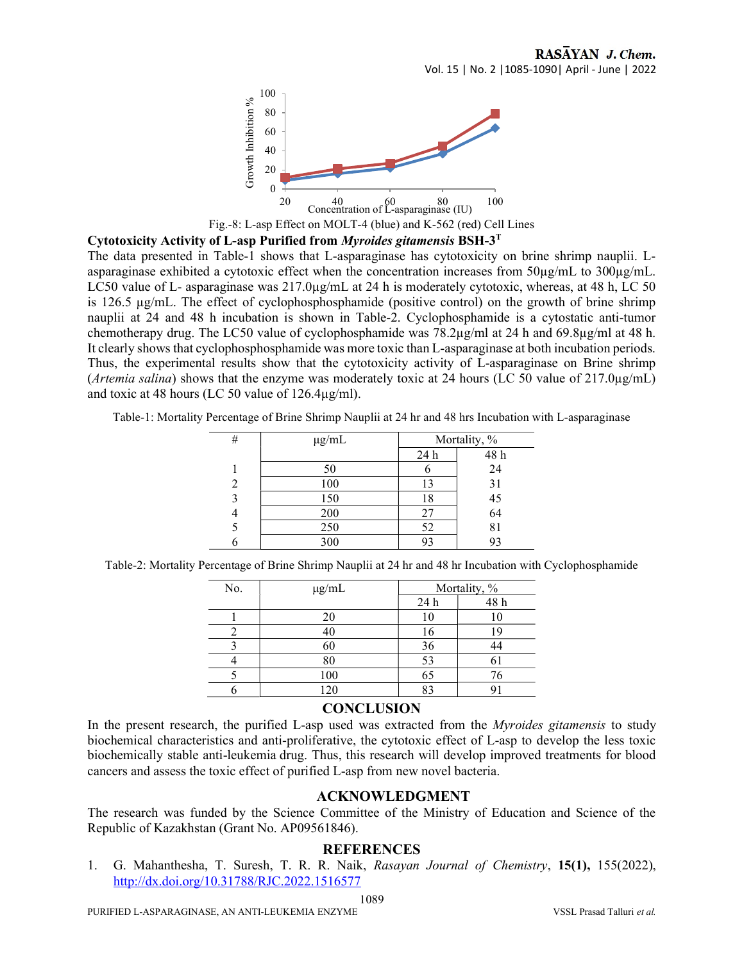

Fig.-8: L-asp Effect on MOLT-4 (blue) and K-562 (red) Cell Lines

Cytotoxicity Activity of L-asp Purified from Myroides gitamensis BSH-3<sup>T</sup>

The data presented in Table-1 shows that L-asparaginase has cytotoxicity on brine shrimp nauplii. Lasparaginase exhibited a cytotoxic effect when the concentration increases from  $50\mu\text{g/mL}$  to  $300\mu\text{g/mL}$ . LC50 value of L- asparaginase was  $217.0\mu\text{g/mL}$  at 24 h is moderately cytotoxic, whereas, at 48 h, LC 50 is 126.5 µg/mL. The effect of cyclophosphosphamide (positive control) on the growth of brine shrimp nauplii at 24 and 48 h incubation is shown in Table-2. Cyclophosphamide is a cytostatic anti-tumor chemotherapy drug. The LC50 value of cyclophosphamide was 78.2µg/ml at 24 h and 69.8µg/ml at 48 h. It clearly shows that cyclophosphosphamide was more toxic than L-asparaginase at both incubation periods. Thus, the experimental results show that the cytotoxicity activity of L-asparaginase on Brine shrimp (*Artemia salina*) shows that the enzyme was moderately toxic at 24 hours (LC 50 value of 217.0 $\mu$ g/mL) and toxic at 48 hours (LC 50 value of 126.4µg/ml).

Table-1: Mortality Percentage of Brine Shrimp Nauplii at 24 hr and 48 hrs Incubation with L-asparaginase

| # | $\mu$ g/mL | Mortality, % |                |
|---|------------|--------------|----------------|
|   |            | 24 h         | 48 h           |
|   | 50         |              | 24             |
|   | 100        | 13           |                |
| 3 | 150        | 18           | 31<br>45<br>64 |
|   | 200        | 27           |                |
|   | 250        | 52           | 81             |
|   | 300        | 93           | 93             |

Table-2: Mortality Percentage of Brine Shrimp Nauplii at 24 hr and 48 hr Incubation with Cyclophosphamide

| No. | $\mu$ g/mL | Mortality, % |      |
|-----|------------|--------------|------|
|     |            | 24 h         | 48 h |
|     | 20         |              | 10   |
|     | 40         | 16           | 19   |
|     | 60         | 36           |      |
|     | 80         | 53           |      |
|     | 100        | 65           | 76   |
|     | 120        | Q٩           |      |

#### **CONCLUSION**

In the present research, the purified L-asp used was extracted from the *Myroides gitamensis* to study biochemical characteristics and anti-proliferative, the cytotoxic effect of L-asp to develop the less toxic biochemically stable anti-leukemia drug. Thus, this research will develop improved treatments for blood cancers and assess the toxic effect of purified L-asp from new novel bacteria.

## ACKNOWLEDGMENT

The research was funded by the Science Committee of the Ministry of Education and Science of the Republic of Kazakhstan (Grant No. АР09561846).

## **REFERENCES**

1. G. Mahanthesha, T. Suresh, T. R. R. Naik, Rasayan Journal of Chemistry, 15(1), 155(2022), http://dx.doi.org/10.31788/RJC.2022.1516577